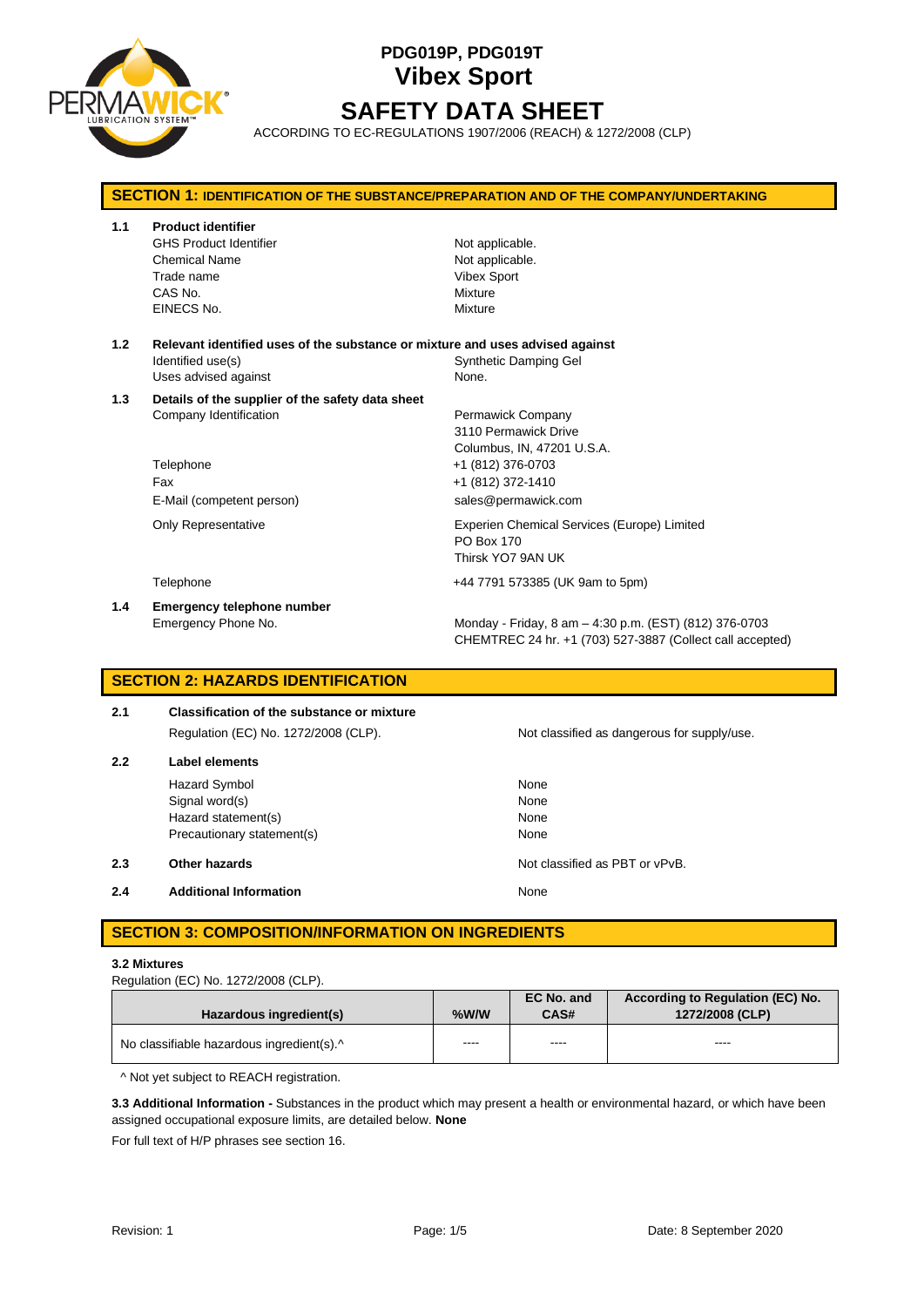

# **PDG019P, PDG019T Vibex Sport SAFETY DATA SHEET**

ACCORDING TO EC-REGULATIONS 1907/2006 (REACH) & 1272/2008 (CLP)

## **SECTION 1: IDENTIFICATION OF THE SUBSTANCE/PREPARATION AND OF THE COMPANY/UNDERTAKING 1.1 Product identifier** GHS Product Identifier Not applicable. Chemical Name Not applicable. Trade name **Vibex Sport** CAS No. **Mixture** EINECS No. 2008 2009 2009 2009 2009 2009 2012 2022 2030 2040 2052 2053 2062 2073 2074 2075 2076 2077 2078 2079 **1.2 Relevant identified uses of the substance or mixture and uses advised against** Identified use(s) The Company of the Synthetic Damping Gel Uses advised against None. **1.3 Details of the supplier of the safety data sheet** Company Identification **Permawick Company** 3110 Permawick Drive Columbus, IN, 47201 U.S.A. Telephone +1 (812) 376-0703 Fax +1 (812) 372-1410 E-Mail (competent person) sales@permawick.com Only Representative Experien Chemical Services (Europe) Limited PO Box 170 Thirsk YO7 9AN UK Telephone +44 7791 573385 (UK 9am to 5pm) **1.4 Emergency telephone number** Emergency Phone No. **Monday - Friday, 8 am – 4:30 p.m. (EST) (812) 376-0703** CHEMTREC 24 hr. +1 (703) 527-3887 (Collect call accepted) **SECTION 2: HAZARDS IDENTIFICATION**

## **2.1 Classification of the substance or mixture** Regulation (EC) No. 1272/2008 (CLP). Not classified as dangerous for supply/use. **2.2 Label elements** Hazard Symbol None Signal word(s) None Hazard statement(s) None Precautionary statement(s) None **2.3 Other hazards Other hazards Note classified as PBT or vPvB. 2.4 Additional Information None**

## **SECTION 3: COMPOSITION/INFORMATION ON INGREDIENTS**

## **3.2 Mixtures**

| Hazardous ingredient(s)                   | $%$ W/W | EC No. and<br>CAS# | According to Regulation (EC) No.<br>1272/2008 (CLP) |
|-------------------------------------------|---------|--------------------|-----------------------------------------------------|
| No classifiable hazardous ingredient(s).^ | ----    | ----               | ----                                                |

^ Not yet subject to REACH registration.

**3.3 Additional Information -** Substances in the product which may present a health or environmental hazard, or which have been assigned occupational exposure limits, are detailed below. **None**

For full text of H/P phrases see section 16.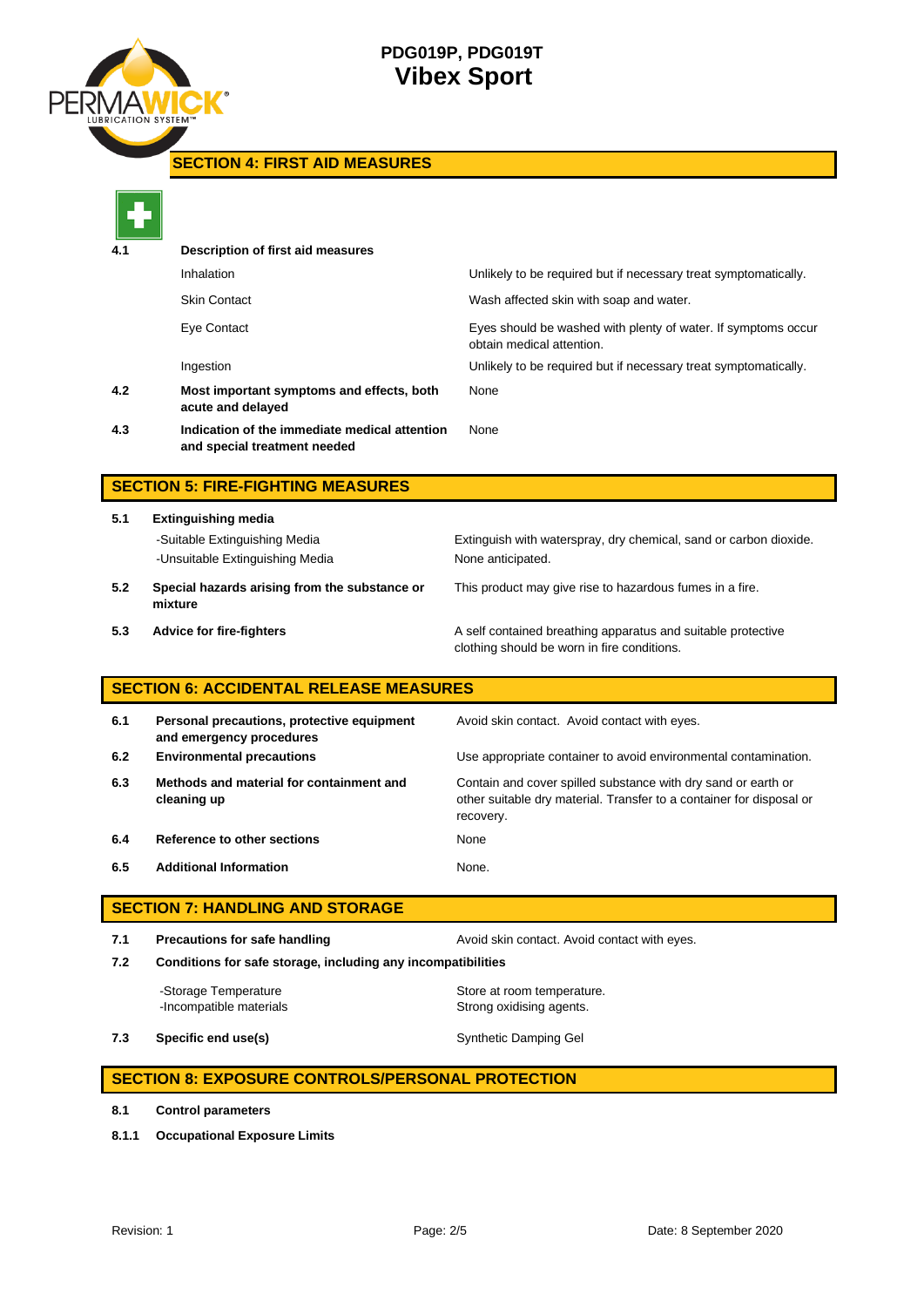

**SECTION 4: FIRST AID MEASURES**

|     | Description of first aid measures                                             |                                                                                                                                                    |
|-----|-------------------------------------------------------------------------------|----------------------------------------------------------------------------------------------------------------------------------------------------|
|     | Inhalation                                                                    | Unlikely to be required but if necessary treat symptomatically.                                                                                    |
|     | <b>Skin Contact</b>                                                           | Wash affected skin with soap and water.                                                                                                            |
|     | Eye Contact                                                                   | Eyes should be washed with plenty of water. If symptoms occur<br>obtain medical attention.                                                         |
|     | Ingestion                                                                     | Unlikely to be required but if necessary treat symptomatically.                                                                                    |
| 4.2 | Most important symptoms and effects, both<br>acute and delayed                | None                                                                                                                                               |
| 4.3 | Indication of the immediate medical attention<br>and special treatment needed | None                                                                                                                                               |
|     | <b>SECTION 5: FIRE-FIGHTING MEASURES</b>                                      |                                                                                                                                                    |
| 5.1 | <b>Extinguishing media</b>                                                    |                                                                                                                                                    |
|     | -Suitable Extinguishing Media<br>-Unsuitable Extinguishing Media              | Extinguish with waterspray, dry chemical, sand or carbon dioxide.<br>None anticipated.                                                             |
| 5.2 | Special hazards arising from the substance or<br>mixture                      | This product may give rise to hazardous fumes in a fire.                                                                                           |
| 5.3 | <b>Advice for fire-fighters</b>                                               | A self contained breathing apparatus and suitable protective<br>clothing should be worn in fire conditions.                                        |
|     | <b>SECTION 6: ACCIDENTAL RELEASE MEASURES</b>                                 |                                                                                                                                                    |
| 6.1 | Personal precautions, protective equipment<br>and emergency procedures        | Avoid skin contact. Avoid contact with eyes.                                                                                                       |
| 6.2 | <b>Environmental precautions</b>                                              | Use appropriate container to avoid environmental contamination.                                                                                    |
| 6.3 | Methods and material for containment and<br>cleaning up                       | Contain and cover spilled substance with dry sand or earth or<br>other suitable dry material. Transfer to a container for disposal or<br>recovery. |
| 6.4 | Reference to other sections                                                   | None                                                                                                                                               |
| 6.5 | <b>Additional Information</b>                                                 | None.                                                                                                                                              |
|     | <b>SECTION 7: HANDLING AND STORAGE</b>                                        |                                                                                                                                                    |
| 7.1 | <b>Precautions for safe handling</b>                                          | Avoid skin contact. Avoid contact with eyes.                                                                                                       |
| 7.2 | Conditions for safe storage, including any incompatibilities                  |                                                                                                                                                    |
|     | -Storage Temperature<br>-Incompatible materials                               | Store at room temperature.<br>Strong oxidising agents.                                                                                             |
| 7.3 | Specific end use(s)                                                           | Synthetic Damping Gel                                                                                                                              |
|     | <b>SECTION 8: EXPOSURE CONTROLS/PERSONAL PROTECTION</b>                       |                                                                                                                                                    |

**8.1 Control parameters**

**8.1.1 Occupational Exposure Limits**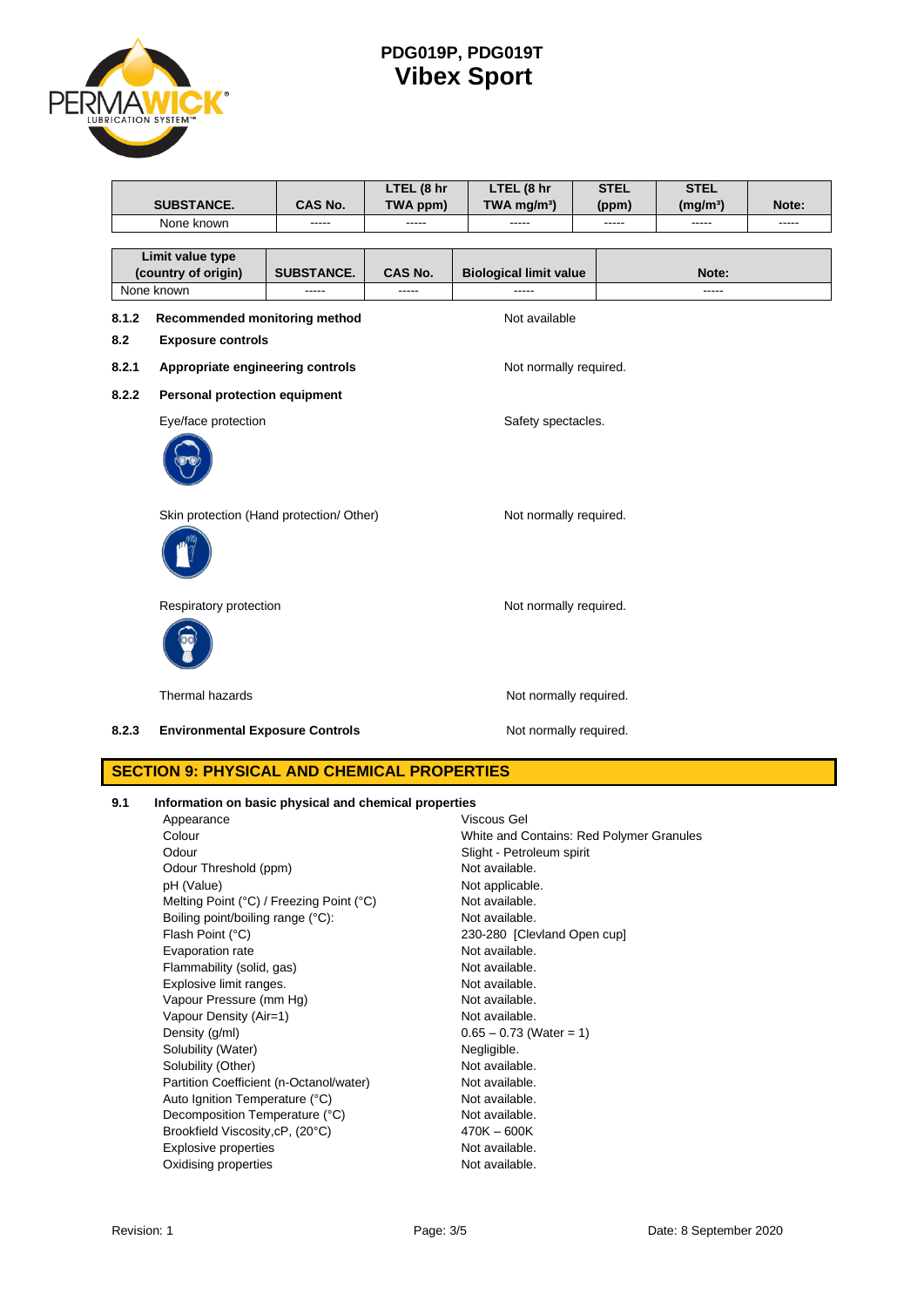

|       |                                                            |                    | LTEL (8 hr | LTEL (8 hr                    | <b>STEL</b> | <b>STEL</b>          |       |
|-------|------------------------------------------------------------|--------------------|------------|-------------------------------|-------------|----------------------|-------|
|       | <b>SUBSTANCE.</b>                                          | <b>CAS No.</b>     | TWA ppm)   | TWA mg/m <sup>3</sup> )       | (ppm)       | (mg/m <sup>3</sup> ) | Note: |
|       | None known                                                 |                    |            |                               | -----       |                      | ----- |
|       | Limit value type                                           |                    |            |                               |             |                      |       |
|       | (country of origin)                                        | <b>SUBSTANCE.</b>  | CAS No.    | <b>Biological limit value</b> |             | Note:                |       |
|       | None known                                                 | -----              | -----      |                               |             | -----                |       |
| 8.1.2 | Recommended monitoring method                              |                    |            | Not available                 |             |                      |       |
| 8.2   | <b>Exposure controls</b>                                   |                    |            |                               |             |                      |       |
|       |                                                            |                    |            |                               |             |                      |       |
| 8.2.1 | Appropriate engineering controls<br>Not normally required. |                    |            |                               |             |                      |       |
| 8.2.2 | Personal protection equipment                              |                    |            |                               |             |                      |       |
|       | Eye/face protection                                        | Safety spectacles. |            |                               |             |                      |       |
|       |                                                            |                    |            |                               |             |                      |       |
|       |                                                            |                    |            |                               |             |                      |       |
|       |                                                            |                    |            |                               |             |                      |       |
|       |                                                            |                    |            |                               |             |                      |       |
|       | Skin protection (Hand protection/ Other)                   |                    |            | Not normally required.        |             |                      |       |
|       |                                                            |                    |            |                               |             |                      |       |
|       |                                                            |                    |            |                               |             |                      |       |
|       |                                                            |                    |            |                               |             |                      |       |
|       | Respiratory protection                                     |                    |            | Not normally required.        |             |                      |       |
|       |                                                            |                    |            |                               |             |                      |       |
|       |                                                            |                    |            |                               |             |                      |       |
|       |                                                            |                    |            |                               |             |                      |       |
|       | Thermal hazards                                            |                    |            | Not normally required.        |             |                      |       |
|       |                                                            |                    |            |                               |             |                      |       |
| 8.2.3 | <b>Environmental Exposure Controls</b>                     |                    |            | Not normally required.        |             |                      |       |
|       |                                                            |                    |            |                               |             |                      |       |

## **SECTION 9: PHYSICAL AND CHEMICAL PROPERTIES**

| 9.1 |  | Information on basic physical and chemical properties |  |
|-----|--|-------------------------------------------------------|--|
|     |  |                                                       |  |

| Appearance                               | Viscous Gel                              |
|------------------------------------------|------------------------------------------|
| Colour                                   | White and Contains: Red Polymer Granules |
| Odour                                    | Slight - Petroleum spirit                |
| Odour Threshold (ppm)                    | Not available.                           |
| pH (Value)                               | Not applicable.                          |
| Melting Point (°C) / Freezing Point (°C) | Not available.                           |
| Boiling point/boiling range (°C):        | Not available.                           |
| Flash Point (°C)                         | 230-280 [Clevland Open cup]              |
| Evaporation rate                         | Not available.                           |
| Flammability (solid, gas)                | Not available.                           |
| Explosive limit ranges.                  | Not available.                           |
| Vapour Pressure (mm Hg)                  | Not available.                           |
| Vapour Density (Air=1)                   | Not available.                           |
| Density (g/ml)                           | $0.65 - 0.73$ (Water = 1)                |
| Solubility (Water)                       | Negligible.                              |
| Solubility (Other)                       | Not available.                           |
| Partition Coefficient (n-Octanol/water)  | Not available.                           |
| Auto Ignition Temperature (°C)           | Not available.                           |
| Decomposition Temperature (°C)           | Not available.                           |
| Brookfield Viscosity, cP, (20°C)         | $470K - 600K$                            |
| <b>Explosive properties</b>              | Not available.                           |
| Oxidising properties                     | Not available.                           |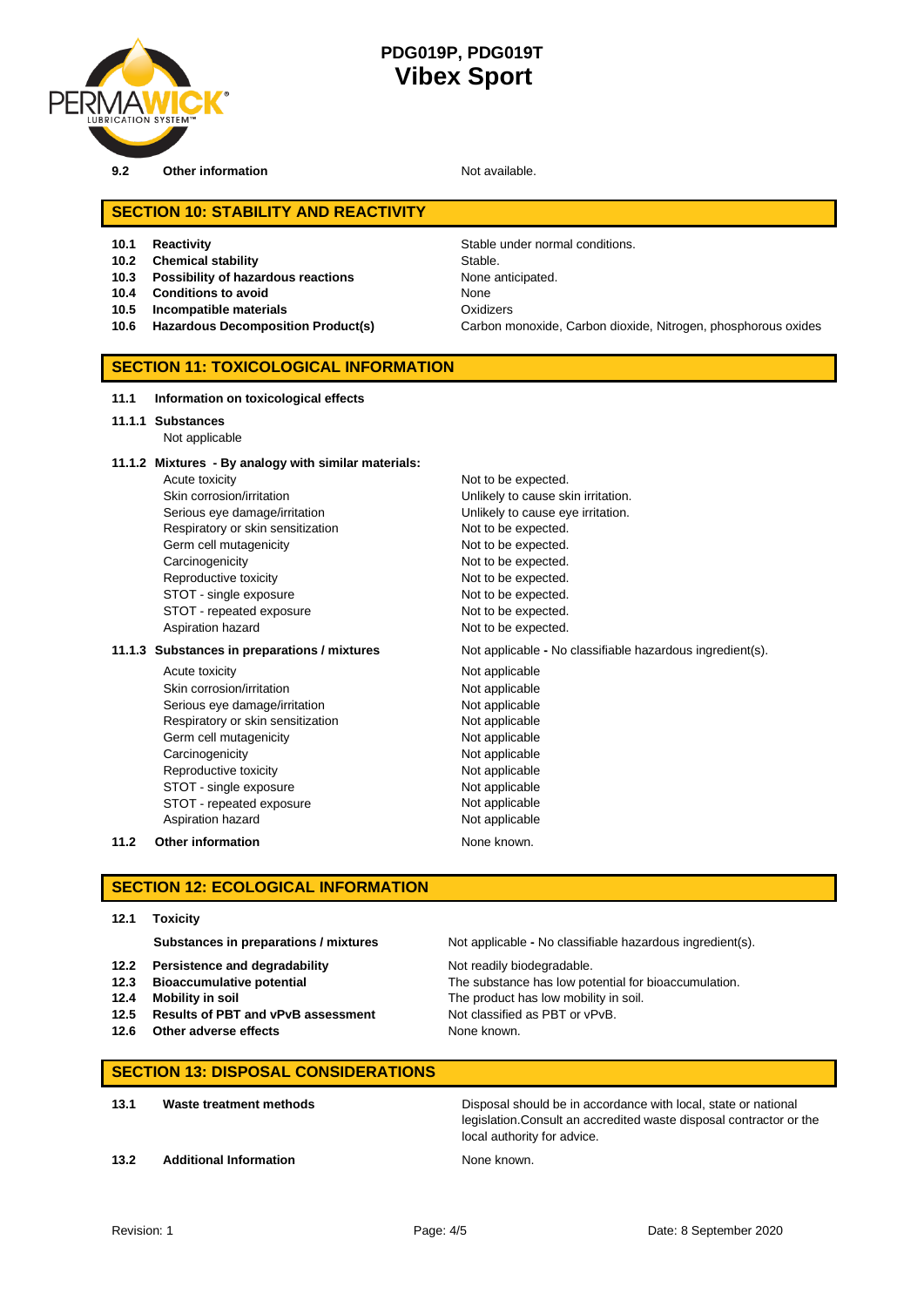

**9.2 Other information Not available.** 

## **SECTION 10: STABILITY AND REACTIVITY**

- 
- **10.2 Chemical stability** Stable.
- **10.3 Possibility of hazardous reactions** None anticipated.
- **10.4 Conditions to avoid** None
- **10.5 Incompatible materials** Oxidizers
- 

**10.1 Reactivity 10.1 Reactivity Stable under normal conditions. 10.6 Hazardous Decomposition Product(s)** Carbon monoxide, Carbon dioxide, Nitrogen, phosphorous oxides

## **SECTION 11: TOXICOLOGICAL INFORMATION**

#### **11.1 Information on toxicological effects**

- **11.1.1 Substances**
	- Not applicable

#### **11.1.2 Mixtures - By analogy with similar materials:**

Acute toxicity **Not to be expected.** Skin corrosion/irritation **Unlikely to cause skin irritation**. Serious eye damage/irritation **Exercise 2018** Unlikely to cause eye irritation. Respiratory or skin sensitization Not to be expected. Germ cell mutagenicity expected. Carcinogenicity **Not to be expected.** Reproductive toxicity Not to be expected. STOT - single exposure Not to be expected. STOT - repeated exposure Not to be expected. Aspiration hazard **Not to be expected.** 

#### **11.1.3** Substances in preparations / mixtures Not applicable - No classifiable hazardous ingredient(s).

Acute toxicity **Not applicable** Skin corrosion/irritation Not applicable Serious eye damage/irritation Not applicable Respiratory or skin sensitization Not applicable Germ cell mutagenicity **Not applicable** Carcinogenicity **Not applicable** Reproductive toxicity Not applicable STOT - single exposure Not applicable STOT - repeated exposure Not applicable Aspiration hazard Not applicable

**11.2 Other information** None known.

#### **SECTION 12: ECOLOGICAL INFORMATION**

**12.1 Toxicity**

- **12.2 Persistence and degradability** Not readily biodegradable.
- 
- 
- **12.5 Results of PBT and vPvB assessment** Not classified as PBT or vPvB.
- **12.6 Other adverse effects** None known.

**Substances in preparations / mixtures** Not applicable **-** No classifiable hazardous ingredient(s).

**12.3 Bioaccumulative potential** The substance has low potential for bioaccumulation. **12.4 Mobility in soil** The product has low mobility in soil.

#### **SECTION 13: DISPOSAL CONSIDERATIONS**

**13.1 Waste treatment methods** Disposal should be in accordance with local, state or national legislation.Consult an accredited waste disposal contractor or the local authority for advice.

**13.2 Additional Information None known.** None known.